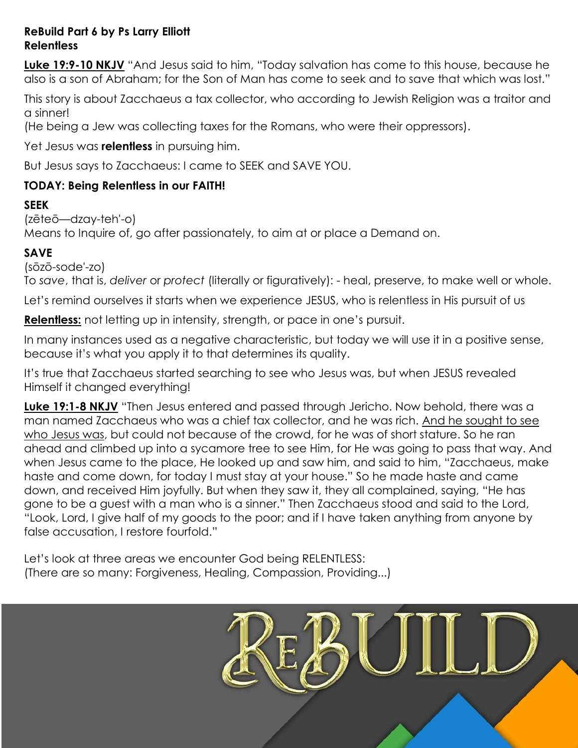#### **ReBuild Part 6 by Ps Larry Elliott Relentless**

**Luke 19:9-10 NKJV** "And Jesus said to him, "Today salvation has come to this house, because he also is a son of Abraham; for the Son of Man has come to seek and to save that which was lost."

This story is about Zacchaeus a tax collector, who according to Jewish Religion was a traitor and a sinner!

(He being a Jew was collecting taxes for the Romans, who were their oppressors).

Yet Jesus was **relentless** in pursuing him.

But Jesus says to Zacchaeus: I came to SEEK and SAVE YOU.

### **TODAY: Being Relentless in our FAITH!**

#### **SEEK**

(zēteō—dzay-teh'-o)

Means to Inquire of, go after passionately, to aim at or place a Demand on.

#### **SAVE**

(sōzō-sode'-zo) To *save*, that is, *deliver* or *protect* (literally or figuratively): - heal, preserve, to make well or whole.

Let's remind ourselves it starts when we experience JESUS, who is relentless in His pursuit of us

**Relentless:** not letting up in intensity, strength, or pace in one's pursuit.

In many instances used as a negative characteristic, but today we will use it in a positive sense, because it's what you apply it to that determines its quality.

It's true that Zacchaeus started searching to see who Jesus was, but when JESUS revealed Himself it changed everything!

**Luke 19:1-8 NKJV** "Then Jesus entered and passed through Jericho. Now behold, there was a man named Zacchaeus who was a chief tax collector, and he was rich. And he sought to see who Jesus was, but could not because of the crowd, for he was of short stature. So he ran ahead and climbed up into a sycamore tree to see Him, for He was going to pass that way. And when Jesus came to the place, He looked up and saw him, and said to him, "Zacchaeus, make haste and come down, for today I must stay at your house." So he made haste and came down, and received Him joyfully. But when they saw it, they all complained, saying, "He has gone to be a guest with a man who is a sinner." Then Zacchaeus stood and said to the Lord, "Look, Lord, I give half of my goods to the poor; and if I have taken anything from anyone by false accusation, I restore fourfold."

Let's look at three areas we encounter God being RELENTLESS: (There are so many: Forgiveness, Healing, Compassion, Providing...)

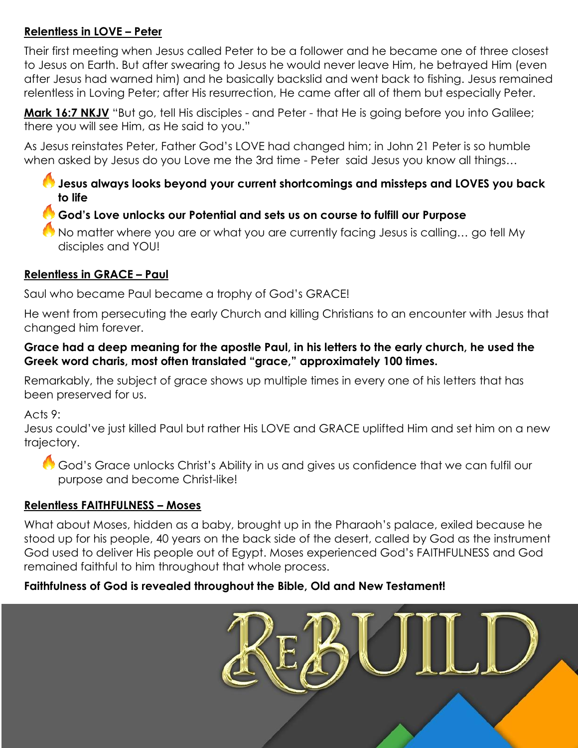# **Relentless in LOVE – Peter**

Their first meeting when Jesus called Peter to be a follower and he became one of three closest to Jesus on Earth. But after swearing to Jesus he would never leave Him, he betrayed Him (even after Jesus had warned him) and he basically backslid and went back to fishing. Jesus remained relentless in Loving Peter; after His resurrection, He came after all of them but especially Peter.

Mark 16:7 NKJV "But go, tell His disciples - and Peter - that He is going before you into Galilee; there you will see Him, as He said to you."

As Jesus reinstates Peter, Father God's LOVE had changed him; in John 21 Peter is so humble when asked by Jesus do you Love me the 3rd time - Peter said Jesus you know all things…

# **Jesus always looks beyond your current shortcomings and missteps and LOVES you back to life**

# **God's Love unlocks our Potential and sets us on course to fulfill our Purpose**

No matter where you are or what you are currently facing Jesus is calling… go tell My disciples and YOU!

# **Relentless in GRACE – Paul**

Saul who became Paul became a trophy of God's GRACE!

He went from persecuting the early Church and killing Christians to an encounter with Jesus that changed him forever.

### **Grace had a deep meaning for the apostle Paul, in his letters to the early church, he used the Greek word charis, most often translated "grace," approximately 100 times.**

Remarkably, the subject of grace shows up multiple times in every one of his letters that has been preserved for us.

Acts 9:

Jesus could've just killed Paul but rather His LOVE and GRACE uplifted Him and set him on a new trajectory.

God's Grace unlocks Christ's Ability in us and gives us confidence that we can fulfil our purpose and become Christ-like!

# **Relentless FAITHFULNESS – Moses**

What about Moses, hidden as a baby, brought up in the Pharaoh's palace, exiled because he stood up for his people, 40 years on the back side of the desert, called by God as the instrument God used to deliver His people out of Egypt. Moses experienced God's FAITHFULNESS and God remained faithful to him throughout that whole process.

# **Faithfulness of God is revealed throughout the Bible, Old and New Testament!**

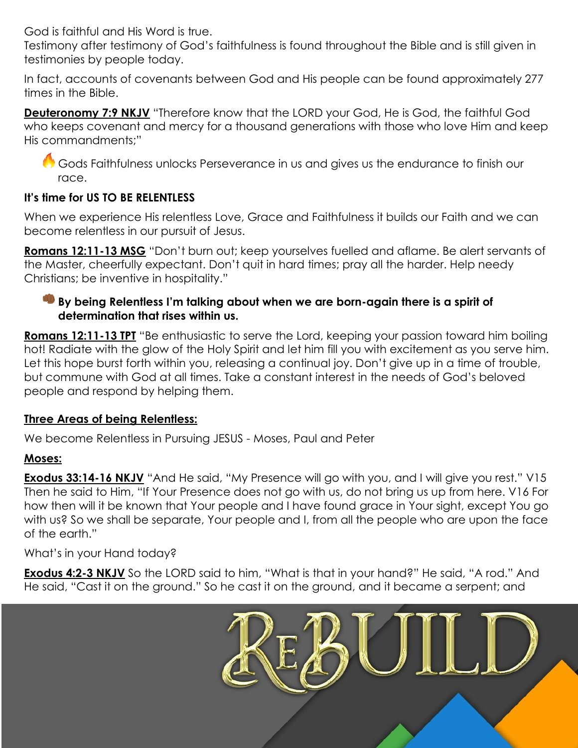God is faithful and His Word is true.

Testimony after testimony of God's faithfulness is found throughout the Bible and is still given in testimonies by people today.

In fact, accounts of covenants between God and His people can be found approximately 277 times in the Bible.

**Deuteronomy 7:9 NKJV** "Therefore know that the LORD your God, He is God, the faithful God who keeps covenant and mercy for a thousand generations with those who love Him and keep His commandments;"

Gods Faithfulness unlocks Perseverance in us and gives us the endurance to finish our race.

# **It's time for US TO BE RELENTLESS**

When we experience His relentless Love, Grace and Faithfulness it builds our Faith and we can become relentless in our pursuit of Jesus.

**Romans 12:11-13 MSG** "Don't burn out; keep yourselves fuelled and aflame. Be alert servants of the Master, cheerfully expectant. Don't quit in hard times; pray all the harder. Help needy Christians; be inventive in hospitality."

### **By being Relentless I'm talking about when we are born-again there is a spirit of determination that rises within us.**

**Romans 12:11-13 TPT** "Be enthusiastic to serve the Lord, keeping your passion toward him boiling hot! Radiate with the glow of the Holy Spirit and let him fill you with excitement as you serve him. Let this hope burst forth within you, releasing a continual joy. Don't give up in a time of trouble, but commune with God at all times. Take a constant interest in the needs of God's beloved people and respond by helping them.

### **Three Areas of being Relentless:**

We become Relentless in Pursuing JESUS - Moses, Paul and Peter

### **Moses:**

**Exodus 33:14-16 NKJV** "And He said, "My Presence will go with you, and I will give you rest." V15 Then he said to Him, "If Your Presence does not go with us, do not bring us up from here. V16 For how then will it be known that Your people and I have found grace in Your sight, except You go with us? So we shall be separate, Your people and I, from all the people who are upon the face of the earth."

What's in your Hand today?

**Exodus 4:2-3 NKJV** So the LORD said to him, "What is that in your hand?" He said, "A rod." And He said, "Cast it on the ground." So he cast it on the ground, and it became a serpent; and

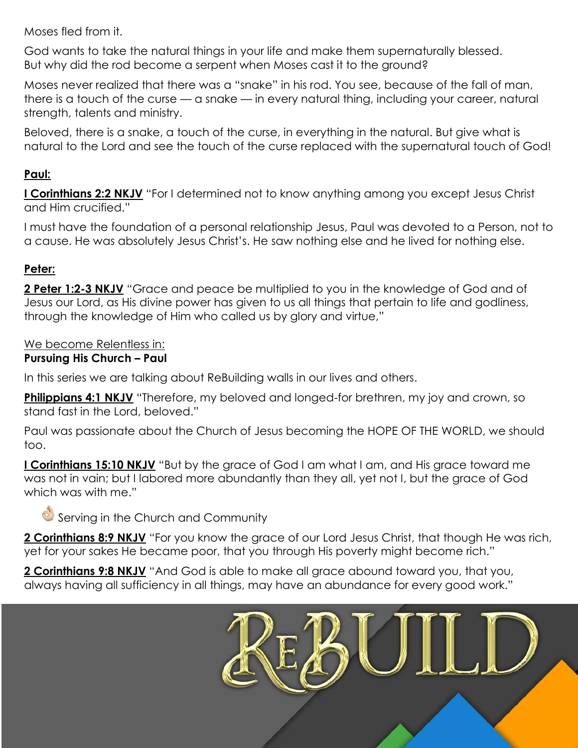Moses fled from it.

God wants to take the natural things in your life and make them supernaturally blessed. But why did the rod become a serpent when Moses cast it to the ground?

Moses never realized that there was a "snake" in his rod. You see, because of the fall of man, there is a touch of the curse — a snake — in every natural thing, including your career, natural strength, talents and ministry.

Beloved, there is a snake, a touch of the curse, in everything in the natural. But give what is natural to the Lord and see the touch of the curse replaced with the supernatural touch of God!

# **Paul:**

**I Corinthians 2:2 NKJV** "For I determined not to know anything among you except Jesus Christ and Him crucified."

I must have the foundation of a personal relationship Jesus, Paul was devoted to a Person, not to a cause. He was absolutely Jesus Christ's. He saw nothing else and he lived for nothing else.

### **Peter:**

**2 Peter 1:2-3 NKJV** "Grace and peace be multiplied to you in the knowledge of God and of Jesus our Lord, as His divine power has given to us all things that pertain to life and godliness, through the knowledge of Him who called us by glory and virtue,"

### We become Relentless in:

#### **Pursuing His Church – Paul**

In this series we are talking about ReBuilding walls in our lives and others.

**Philippians 4:1 NKJV** "Therefore, my beloved and longed-for brethren, my joy and crown, so stand fast in the Lord, beloved."

Paul was passionate about the Church of Jesus becoming the HOPE OF THE WORLD, we should too.

**I Corinthians 15:10 NKJV** "But by the grace of God I am what I am, and His grace toward me was not in vain; but I labored more abundantly than they all, yet not I, but the grace of God which was with me."

Serving in the Church and Community

**2 Corinthians 8:9 NKJV** "For you know the grace of our Lord Jesus Christ, that though He was rich, yet for your sakes He became poor, that you through His poverty might become rich."

**2 Corinthians 9:8 NKJV** "And God is able to make all grace abound toward you, that you, always having all sufficiency in all things, may have an abundance for every good work."